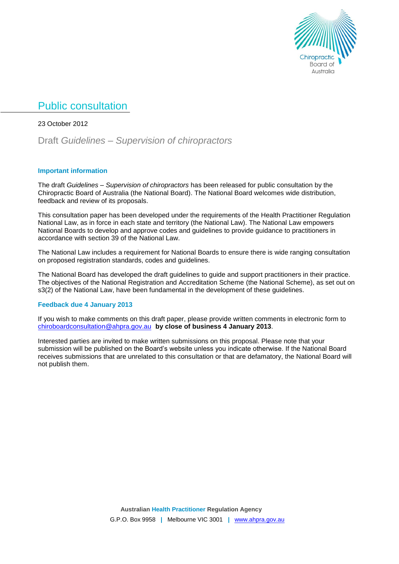

# Public consultation

23 October 2012

Draft *Guidelines – Supervision of chiropractors*

## **Important information**

The draft *Guidelines – Supervision of chiropractors* has been released for public consultation by the Chiropractic Board of Australia (the National Board). The National Board welcomes wide distribution, feedback and review of its proposals.

This consultation paper has been developed under the requirements of the Health Practitioner Regulation National Law, as in force in each state and territory (the National Law). The National Law empowers National Boards to develop and approve codes and guidelines to provide guidance to practitioners in accordance with section 39 of the National Law.

The National Law includes a requirement for National Boards to ensure there is wide ranging consultation on proposed registration standards, codes and guidelines.

The National Board has developed the draft guidelines to guide and support practitioners in their practice. The objectives of the National Registration and Accreditation Scheme (the National Scheme), as set out on s3(2) of the National Law, have been fundamental in the development of these quidelines.

## **Feedback due 4 January 2013**

If you wish to make comments on this draft paper, please provide written comments in electronic form to [chiroboardconsultation@ahpra.gov.au](mailto:chiroboardconsultation@ahpra.gov.au) **by close of business 4 January 2013**.

Interested parties are invited to make written submissions on this proposal. Please note that your submission will be published on the Board's website unless you indicate otherwise. If the National Board receives submissions that are unrelated to this consultation or that are defamatory, the National Board will not publish them.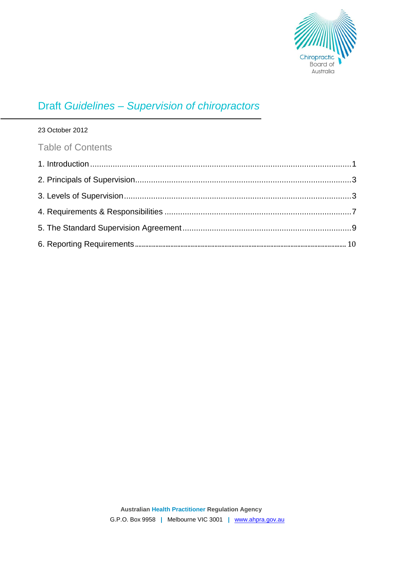

# Draft *Guidelines – Supervision of chiropractors*

# 23 October 2012

# Table of Contents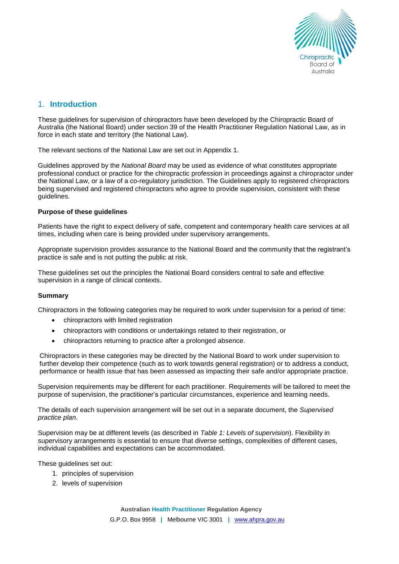

# 1. **Introduction**

These guidelines for supervision of chiropractors have been developed by the Chiropractic Board of Australia (the National Board) under section 39 of the Health Practitioner Regulation National Law, as in force in each state and territory (the National Law)*.*

The relevant sections of the National Law are set out in Appendix 1.

Guidelines approved by the *National Board* may be used as evidence of what constitutes appropriate professional conduct or practice for the chiropractic profession in proceedings against a chiropractor under the National Law, or a law of a co-regulatory jurisdiction. The Guidelines apply to registered chiropractors being supervised and registered chiropractors who agree to provide supervision, consistent with these guidelines.

#### **Purpose of these guidelines**

Patients have the right to expect delivery of safe, competent and contemporary health care services at all times, including when care is being provided under supervisory arrangements.

Appropriate supervision provides assurance to the National Board and the community that the registrant's practice is safe and is not putting the public at risk.

These guidelines set out the principles the National Board considers central to safe and effective supervision in a range of clinical contexts.

## **Summary**

Chiropractors in the following categories may be required to work under supervision for a period of time:

- chiropractors with limited registration
- chiropractors with conditions or undertakings related to their registration, or
- chiropractors returning to practice after a prolonged absence.

Chiropractors in these categories may be directed by the National Board to work under supervision to further develop their competence (such as to work towards general registration) or to address a conduct, performance or health issue that has been assessed as impacting their safe and/or appropriate practice.

Supervision requirements may be different for each practitioner. Requirements will be tailored to meet the purpose of supervision, the practitioner's particular circumstances, experience and learning needs.

The details of each supervision arrangement will be set out in a separate document, the *Supervised practice plan*.

Supervision may be at different levels (as described in *Table 1: Levels of supervision*). Flexibility in supervisory arrangements is essential to ensure that diverse settings, complexities of different cases, individual capabilities and expectations can be accommodated.

These guidelines set out:

- 1. principles of supervision
- 2. levels of supervision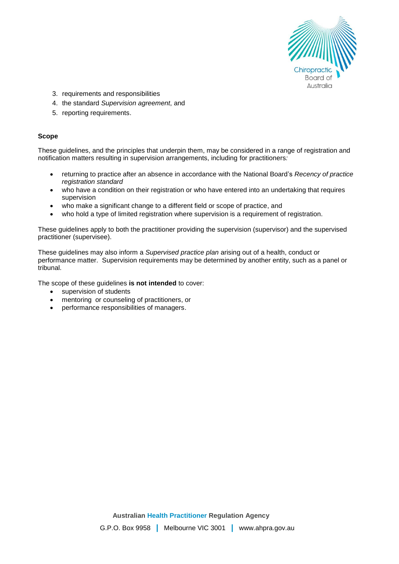

- 3. requirements and responsibilities
- 4. the standard *Supervision agreement*, and
- 5. reporting requirements.

#### **Scope**

These guidelines, and the principles that underpin them, may be considered in a range of registration and notification matters resulting in supervision arrangements, including for practitioners*:*

- returning to practice after an absence in accordance with the National Board's *Recency of practice registration standard*
- who have a condition on their registration or who have entered into an undertaking that requires supervision
- who make a significant change to a different field or scope of practice, and
- who hold a type of limited registration where supervision is a requirement of registration.

These guidelines apply to both the practitioner providing the supervision (supervisor) and the supervised practitioner (supervisee).

These guidelines may also inform a *Supervised practice plan* arising out of a health, conduct or performance matter. Supervision requirements may be determined by another entity, such as a panel or tribunal.

The scope of these guidelines **is not intended** to cover:

- supervision of students
- mentoring or counseling of practitioners, or
- performance responsibilities of managers.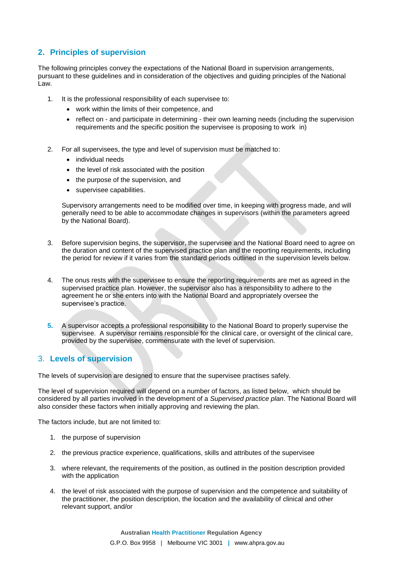# **2. Principles of supervision**

The following principles convey the expectations of the National Board in supervision arrangements, pursuant to these guidelines and in consideration of the objectives and guiding principles of the National Law.

- 1. It is the professional responsibility of each supervisee to:
	- work within the limits of their competence, and
	- reflect on and participate in determining their own learning needs (including the supervision requirements and the specific position the supervisee is proposing to work in)
- 2. For all supervisees, the type and level of supervision must be matched to:
	- individual needs
	- the level of risk associated with the position
	- the purpose of the supervision, and
	- supervisee capabilities.

Supervisory arrangements need to be modified over time, in keeping with progress made, and will generally need to be able to accommodate changes in supervisors (within the parameters agreed by the National Board).

- 3. Before supervision begins, the supervisor, the supervisee and the National Board need to agree on the duration and content of the supervised practice plan and the reporting requirements, including the period for review if it varies from the standard periods outlined in the supervision levels below.
- 4. The onus rests with the supervisee to ensure the reporting requirements are met as agreed in the supervised practice plan. However, the supervisor also has a responsibility to adhere to the agreement he or she enters into with the National Board and appropriately oversee the supervisee's practice.
- **5.** A supervisor accepts a professional responsibility to the National Board to properly supervise the supervisee. A supervisor remains responsible for the clinical care, or oversight of the clinical care, provided by the supervisee, commensurate with the level of supervision.

## 3. **Levels of supervision**

The levels of supervision are designed to ensure that the supervisee practises safely.

The level of supervision required will depend on a number of factors, as listed below, which should be considered by all parties involved in the development of a *Supervised practice plan*. The National Board will also consider these factors when initially approving and reviewing the plan.

The factors include, but are not limited to:

- 1. the purpose of supervision
- 2. the previous practice experience, qualifications, skills and attributes of the supervisee
- 3. where relevant, the requirements of the position, as outlined in the position description provided with the application
- 4. the level of risk associated with the purpose of supervision and the competence and suitability of the practitioner, the position description, the location and the availability of clinical and other relevant support, and/or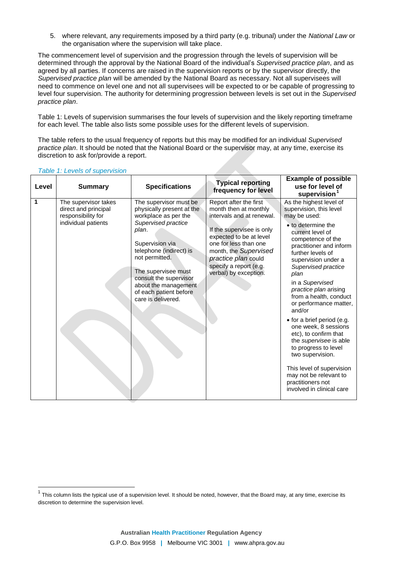5. where relevant, any requirements imposed by a third party (e.g. tribunal) under the *National Law* or the organisation where the supervision will take place.

The commencement level of supervision and the progression through the levels of supervision will be determined through the approval by the National Board of the individual's *Supervised practice plan*, and as agreed by all parties. If concerns are raised in the supervision reports or by the supervisor directly, the *Supervised practice plan* will be amended by the National Board as necessary. Not all supervisees will need to commence on level one and not all supervisees will be expected to or be capable of progressing to level four supervision. The authority for determining progression between levels is set out in the *Supervised practice plan*.

Table 1: Levels of supervision summarises the four levels of supervision and the likely reporting timeframe for each level. The table also lists some possible uses for the different levels of supervision.

The table refers to the usual frequency of reports but this may be modified for an individual *Supervised practice plan*. It should be noted that the National Board or the supervisor may, at any time, exercise its discretion to ask for/provide a report.

| Level | <b>Summary</b>                                                                            | <b>Specifications</b>                                                                                                                                                                                                                                                                                | <b>Typical reporting</b><br>frequency for level                                                                                                                                                                                                                  | <b>Example of possible</b><br>use for level of<br>supervision <sup>1</sup>                                                                                                                                                                                                                                                                                                                                                                                                                                                                                                                                                     |
|-------|-------------------------------------------------------------------------------------------|------------------------------------------------------------------------------------------------------------------------------------------------------------------------------------------------------------------------------------------------------------------------------------------------------|------------------------------------------------------------------------------------------------------------------------------------------------------------------------------------------------------------------------------------------------------------------|--------------------------------------------------------------------------------------------------------------------------------------------------------------------------------------------------------------------------------------------------------------------------------------------------------------------------------------------------------------------------------------------------------------------------------------------------------------------------------------------------------------------------------------------------------------------------------------------------------------------------------|
| 1     | The supervisor takes<br>direct and principal<br>responsibility for<br>individual patients | The supervisor must be<br>physically present at the<br>workplace as per the<br>Supervised practice<br>plan.<br>Supervision via<br>telephone (indirect) is<br>not permitted.<br>The supervisee must<br>consult the supervisor<br>about the management<br>of each patient before<br>care is delivered. | Report after the first<br>month then at monthly<br>intervals and at renewal.<br>If the supervisee is only<br>expected to be at level<br>one for less than one<br>month, the Supervised<br>practice plan could<br>specify a report (e.g.<br>verbal) by exception. | As the highest level of<br>supervision, this level<br>may be used:<br>• to determine the<br>current level of<br>competence of the<br>practitioner and inform<br>further levels of<br>supervision under a<br>Supervised practice<br>plan<br>in a Supervised<br>practice plan arising<br>from a health, conduct<br>or performance matter,<br>and/or<br>$\bullet$ for a brief period (e.g.<br>one week, 8 sessions<br>etc), to confirm that<br>the <i>supervisee</i> is able<br>to progress to level<br>two supervision.<br>This level of supervision<br>may not be relevant to<br>practitioners not<br>involved in clinical care |

*Table 1: Levels of supervision*

 $\overline{a}$ 

<sup>1</sup> This column lists the typical use of a supervision level. It should be noted, however, that the Board may, at any time, exercise its discretion to determine the supervision level.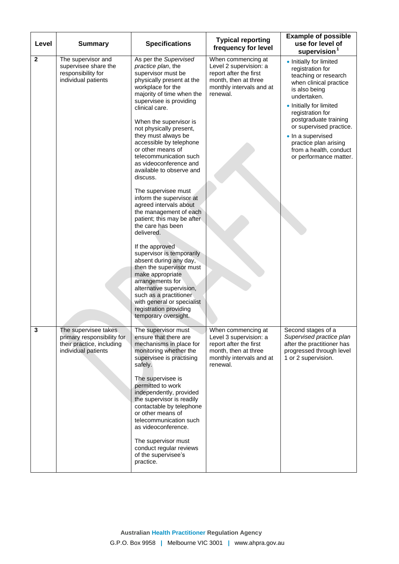| Level        | <b>Summary</b>                                                                                         | <b>Specifications</b>                                                                                                                                                                                                                                                                                                                                                                                                                                                                                                                                                                                                                                                                                                                                                                                                                                                             | <b>Typical reporting</b><br>frequency for level                                                                                        | <b>Example of possible</b><br>use for level of<br>supervision <sup>1</sup>                                                                                                                                                                                                                                                         |
|--------------|--------------------------------------------------------------------------------------------------------|-----------------------------------------------------------------------------------------------------------------------------------------------------------------------------------------------------------------------------------------------------------------------------------------------------------------------------------------------------------------------------------------------------------------------------------------------------------------------------------------------------------------------------------------------------------------------------------------------------------------------------------------------------------------------------------------------------------------------------------------------------------------------------------------------------------------------------------------------------------------------------------|----------------------------------------------------------------------------------------------------------------------------------------|------------------------------------------------------------------------------------------------------------------------------------------------------------------------------------------------------------------------------------------------------------------------------------------------------------------------------------|
| $\mathbf{2}$ | The supervisor and<br>supervisee share the<br>responsibility for<br>individual patients                | As per the Supervised<br>practice plan, the<br>supervisor must be<br>physically present at the<br>workplace for the<br>majority of time when the<br>supervisee is providing<br>clinical care.<br>When the supervisor is<br>not physically present,<br>they must always be<br>accessible by telephone<br>or other means of<br>telecommunication such<br>as videoconference and<br>available to observe and<br>discuss.<br>The supervisee must<br>inform the supervisor at<br>agreed intervals about<br>the management of each<br>patient; this may be after<br>the care has been<br>delivered.<br>If the approved<br>supervisor is temporarily<br>absent during any day,<br>then the supervisor must<br>make appropriate<br>arrangements for<br>alternative supervision,<br>such as a practitioner<br>with general or specialist<br>registration providing<br>temporary oversight. | When commencing at<br>Level 2 supervision: a<br>report after the first<br>month, then at three<br>monthly intervals and at<br>renewal. | • Initially for limited<br>registration for<br>teaching or research<br>when clinical practice<br>is also being<br>undertaken.<br>• Initially for limited<br>registration for<br>postgraduate training<br>or supervised practice.<br>• In a supervised<br>practice plan arising<br>from a health, conduct<br>or performance matter. |
| 3            | The supervisee takes<br>primary responsibility for<br>their practice, including<br>individual patients | The supervisor must<br>ensure that there are<br>mechanisms in place for<br>monitoring whether the<br>supervisee is practising<br>safely.<br>The supervisee is<br>permitted to work<br>independently, provided<br>the supervisor is readily<br>contactable by telephone<br>or other means of<br>telecommunication such<br>as videoconference.<br>The supervisor must<br>conduct regular reviews<br>of the supervisee's<br>practice.                                                                                                                                                                                                                                                                                                                                                                                                                                                | When commencing at<br>Level 3 supervision: a<br>report after the first<br>month, then at three<br>monthly intervals and at<br>renewal. | Second stages of a<br>Supervised practice plan<br>after the practitioner has<br>progressed through level<br>1 or 2 supervision.                                                                                                                                                                                                    |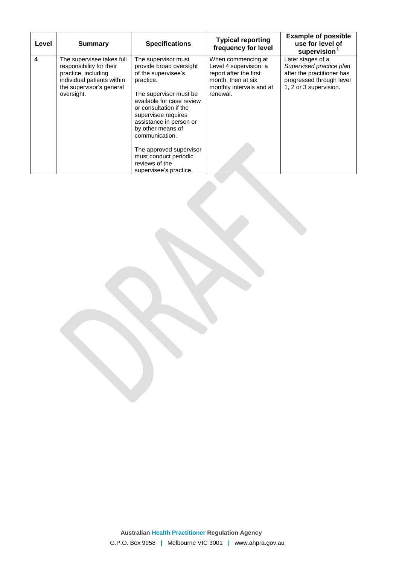| Level | <b>Summary</b>                                                                                                                                       | <b>Specifications</b>                                                                                                                                                                                                                                        | <b>Typical reporting</b><br>frequency for level                                                                                      | <b>Example of possible</b><br>use for level of<br>supervision $1$                                                                 |
|-------|------------------------------------------------------------------------------------------------------------------------------------------------------|--------------------------------------------------------------------------------------------------------------------------------------------------------------------------------------------------------------------------------------------------------------|--------------------------------------------------------------------------------------------------------------------------------------|-----------------------------------------------------------------------------------------------------------------------------------|
| 4     | The supervisee takes full<br>responsibility for their<br>practice, including<br>individual patients within<br>the supervisor's general<br>oversight. | The supervisor must<br>provide broad oversight<br>of the supervisee's<br>practice.<br>The supervisor must be<br>available for case review<br>or consultation if the<br>supervisee requires<br>assistance in person or<br>by other means of<br>communication. | When commencing at<br>Level 4 supervision: a<br>report after the first<br>month, then at six<br>monthly intervals and at<br>renewal. | Later stages of a<br>Supervised practice plan<br>after the practitioner has<br>progressed through level<br>1, 2 or 3 supervision. |
|       |                                                                                                                                                      | The approved supervisor<br>must conduct periodic<br>reviews of the<br>supervisee's practice.                                                                                                                                                                 |                                                                                                                                      |                                                                                                                                   |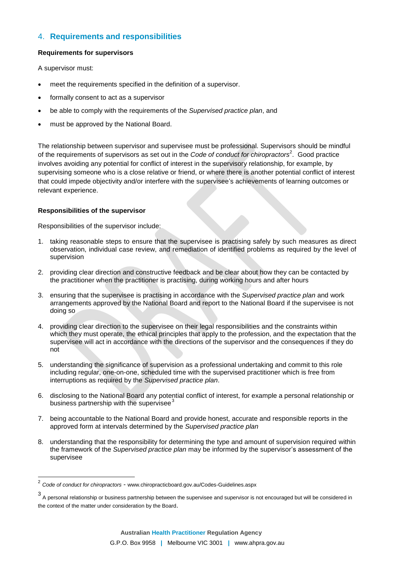# 4. **Requirements and responsibilities**

#### **Requirements for supervisors**

A supervisor must:

- meet the requirements specified in the definition of a supervisor.
- formally consent to act as a supervisor
- be able to comply with the requirements of the *Supervised practice plan*, and
- must be approved by the National Board.

The relationship between supervisor and supervisee must be professional. Supervisors should be mindful of the requirements of supervisors as set out in the *Code of conduct for chiropractors*<sup>2</sup>. Good practice involves avoiding any potential for conflict of interest in the supervisory relationship, for example, by supervising someone who is a close relative or friend, or where there is another potential conflict of interest that could impede objectivity and/or interfere with the supervisee's achievements of learning outcomes or relevant experience.

#### **Responsibilities of the supervisor**

 $\overline{a}$ 

Responsibilities of the supervisor include:

- 1. taking reasonable steps to ensure that the supervisee is practising safely by such measures as direct observation, individual case review, and remediation of identified problems as required by the level of supervision
- 2. providing clear direction and constructive feedback and be clear about how they can be contacted by the practitioner when the practitioner is practising, during working hours and after hours
- 3. ensuring that the supervisee is practising in accordance with the *Supervised practice plan* and work arrangements approved by the National Board and report to the National Board if the supervisee is not doing so
- 4. providing clear direction to the supervisee on their legal responsibilities and the constraints within which they must operate, the ethical principles that apply to the profession, and the expectation that the supervisee will act in accordance with the directions of the supervisor and the consequences if they do not
- 5. understanding the significance of supervision as a professional undertaking and commit to this role including regular, one-on-one, scheduled time with the supervised practitioner which is free from interruptions as required by the *Supervised practice plan*.
- 6. disclosing to the National Board any potential conflict of interest, for example a personal relationship or business partnership with the supervisee<sup>3</sup>
- 7. being accountable to the National Board and provide honest, accurate and responsible reports in the approved form at intervals determined by the *Supervised practice plan*
- 8. understanding that the responsibility for determining the type and amount of supervision required within the framework of the *Supervised practice plan* may be informed by the supervisor's assessment of the supervisee

<sup>2</sup> *Code of conduct for chiropractors* - www.chiropracticboard.gov.au/Codes-Guidelines.aspx

<sup>3</sup> A personal relationship or business partnership between the supervisee and supervisor is not encouraged but will be considered in the context of the matter under consideration by the Board.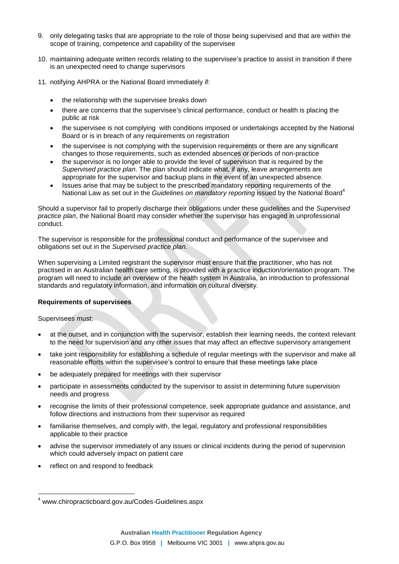- 9. only delegating tasks that are appropriate to the role of those being supervised and that are within the scope of training, competence and capability of the supervisee
- 10. maintaining adequate written records relating to the supervisee's practice to assist in transition if there is an unexpected need to change supervisors
- 11. notifying AHPRA or the National Board immediately if:
	- the relationship with the supervisee breaks down
	- there are concerns that the supervisee's clinical performance, conduct or health is placing the public at risk
	- the supervisee is not complying with conditions imposed or undertakings accepted by the National Board or is in breach of any requirements on registration
	- the supervisee is not complying with the supervision requirements or there are any significant changes to those requirements, such as extended absences or periods of non-practice
	- the supervisor is no longer able to provide the level of supervision that is required by the *Supervised practice plan*. The plan should indicate what, if any, leave arrangements are appropriate for the supervisor and backup plans in the event of an unexpected absence.
	- Issues arise that may be subject to the prescribed mandatory reporting requirements of the National Law as set out in the *Guidelines on mandatory reporting* issued by the National Board<sup>4</sup>

Should a supervisor fail to properly discharge their obligations under these guidelines and the *Supervised practice plan*, the National Board may consider whether the supervisor has engaged in unprofessional conduct.

The supervisor is responsible for the professional conduct and performance of the supervisee and obligations set out in the *Supervised practice plan*.

When supervising a Limited registrant the supervisor must ensure that the practitioner, who has not practised in an Australian health care setting, is provided with a practice induction/orientation program. The program will need to include an overview of the health system in Australia, an introduction to professional standards and regulatory information, and information on cultural diversity.

#### **Requirements of supervisees**

Supervisees must:

- at the outset, and in conjunction with the supervisor, establish their learning needs, the context relevant to the need for supervision and any other issues that may affect an effective supervisory arrangement
- take joint responsibility for establishing a schedule of regular meetings with the supervisor and make all reasonable efforts within the supervisee's control to ensure that these meetings take place
- be adequately prepared for meetings with their supervisor
- participate in assessments conducted by the supervisor to assist in determining future supervision needs and progress
- recognise the limits of their professional competence, seek appropriate guidance and assistance, and follow directions and instructions from their supervisor as required
- familiarise themselves, and comply with, the legal, regulatory and professional responsibilities applicable to their practice
- advise the supervisor immediately of any issues or clinical incidents during the period of supervision which could adversely impact on patient care
- reflect on and respond to feedback

 $\overline{a}$ <sup>4</sup> www.chiropracticboard.gov.au/Codes-Guidelines.aspx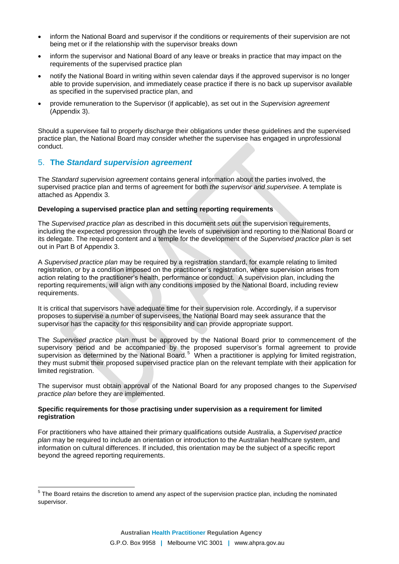- inform the National Board and supervisor if the conditions or requirements of their supervision are not being met or if the relationship with the supervisor breaks down
- inform the supervisor and National Board of any leave or breaks in practice that may impact on the requirements of the supervised practice plan
- notify the National Board in writing within seven calendar days if the approved supervisor is no longer able to provide supervision, and immediately cease practice if there is no back up supervisor available as specified in the supervised practice plan, and
- provide remuneration to the Supervisor (if applicable), as set out in the *Supervision agreement* (Appendix 3).

Should a supervisee fail to properly discharge their obligations under these guidelines and the supervised practice plan, the National Board may consider whether the supervisee has engaged in unprofessional conduct.

## 5. **The** *Standard supervision agreement*

 $\overline{a}$ 

The *Standard supervision agreement* contains general information about the parties involved, the supervised practice plan and terms of agreement for both *the supervisor and supervisee*. A template is attached as Appendix 3.

## **Developing a supervised practice plan and setting reporting requirements**

The *Supervised practice plan* as described in this document sets out the supervision requirements, including the expected progression through the levels of supervision and reporting to the National Board or its delegate. The required content and a temple for the development of the *Supervised practice plan* is set out in Part B of Appendix 3.

A *Supervised practice plan* may be required by a registration standard, for example relating to limited registration, or by a condition imposed on the practitioner's registration, where supervision arises from action relating to the practitioner's health, performance or conduct. A supervision plan, including the reporting requirements, will align with any conditions imposed by the National Board, including review requirements.

It is critical that supervisors have adequate time for their supervision role. Accordingly, if a supervisor proposes to supervise a number of supervisees, the National Board may seek assurance that the supervisor has the capacity for this responsibility and can provide appropriate support.

The *Supervised practice plan* must be approved by the National Board prior to commencement of the supervisory period and be accompanied by the proposed supervisor's formal agreement to provide supervision as determined by the National Board.<sup>5</sup> When a practitioner is applying for limited registration, they must submit their proposed supervised practice plan on the relevant template with their application for limited registration.

The supervisor must obtain approval of the National Board for any proposed changes to the *Supervised practice plan* before they are implemented.

#### **Specific requirements for those practising under supervision as a requirement for limited registration**

For practitioners who have attained their primary qualifications outside Australia, a *Supervised practice plan* may be required to include an orientation or introduction to the Australian healthcare system, and information on cultural differences. If included, this orientation may be the subject of a specific report beyond the agreed reporting requirements.

 $5$  The Board retains the discretion to amend any aspect of the supervision practice plan, including the nominated supervisor.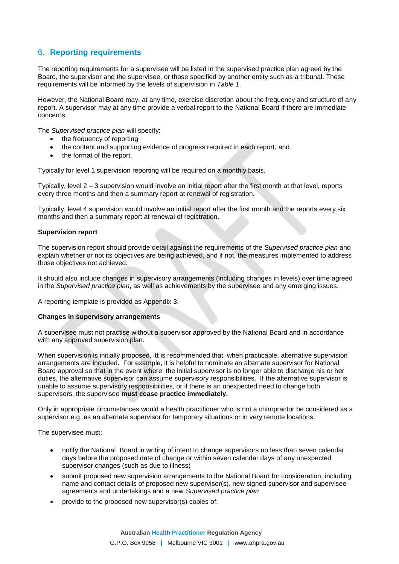# 6. **Reporting requirements**

The reporting requirements for a supervisee will be listed in the supervised practice plan agreed by the Board, the supervisor and the supervisee, or those specified by another entity such as a tribunal. These requirements will be informed by the levels of supervision in *Table 1*.

However, the National Board may, at any time, exercise discretion about the frequency and structure of any report. A supervisor may at any time provide a verbal report to the National Board if there are immediate concerns.

The *Supervised practice plan* will specify:

- the frequency of reporting
- the content and supporting evidence of progress required in each report, and
- the format of the report.

Typically for level 1 supervision reporting will be required on a monthly basis.

Typically, level 2 – 3 supervision would involve an initial report after the first month at that level, reports every three months and then a summary report at renewal of registration.

Typically, level 4 supervision would involve an initial report after the first month and the reports every six months and then a summary report at renewal of registration.

#### **Supervision report**

The supervision report should provide detail against the requirements of the *Supervised practice plan* and explain whether or not its objectives are being achieved, and if not, the measures implemented to address those objectives not achieved.

It should also include changes in supervisory arrangements (including changes in levels) over time agreed in the *Supervised practice plan*, as well as achievements by the supervisee and any emerging issues.

A reporting template is provided as Appendix 3.

#### **Changes in supervisory arrangements**

A supervisee must not practise without a supervisor approved by the National Board and in accordance with any approved supervision plan.

When supervision is initially proposed, itt is recommended that, when practicable, alternative supervision arrangements are included. For example, it is helpful to nominate an alternate supervisor for National Board approval so that in the event where the initial supervisor is no longer able to discharge his or her duties, the alternative supervisor can assume supervisory responsibilities. If the alternative supervisor is unable to assume supervisory responsibilities, or if there is an unexpected need to change both supervisors, the supervisee **must cease practice immediately.**

Only in appropriate circumstances would a health practitioner who is not a chiropractor be considered as a supervisor e.g. as an alternate supervisor for temporary situations or in very remote locations.

The supervisee must:

- notify the National Board in writing of intent to change supervisors no less than seven calendar days before the proposed date of change or within seven calendar days of any unexpected supervisor changes (such as due to illness)
- submit proposed new supervision arrangements to the National Board for consideration, including name and contact details of proposed new supervisor(s), new signed supervisor and supervisee agreements and undertakings and a new *Supervised practice plan*
- provide to the proposed new supervisor(s) copies of: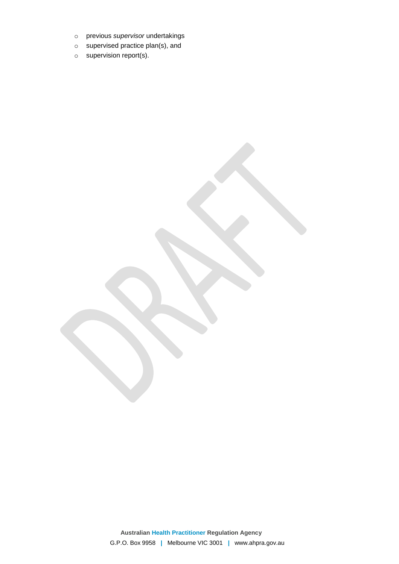- o previous *supervisor* undertakings
- o supervised practice plan(s), and
- o supervision report(s).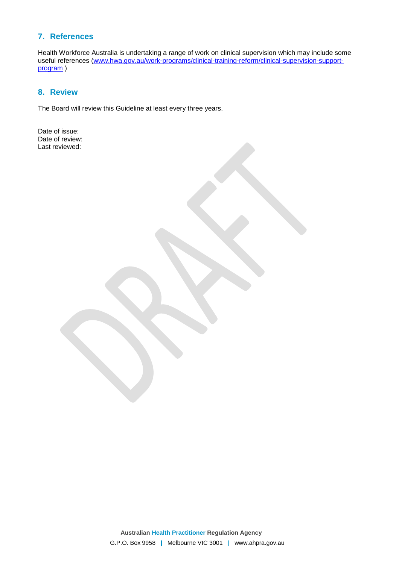# **7. References**

Health Workforce Australia is undertaking a range of work on clinical supervision which may include some useful references ([www.hwa.gov.au/work-programs/clinical-training-reform/clinical-supervision-support](http://www.hwa.gov.au/work-programs/clinical-training-reform/clinical-supervision-support-program)[program](http://www.hwa.gov.au/work-programs/clinical-training-reform/clinical-supervision-support-program)<sub>)</sub>

## **8. Review**

The Board will review this Guideline at least every three years.

Date of issue: Date of review: Last reviewed: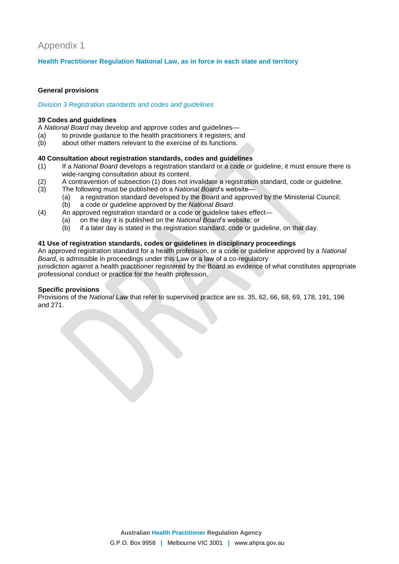# Appendix 1

## **Health Practitioner Regulation National Law, as in force in each state and territory**

#### **General provisions**

#### *Division 3 Registration standards and codes and guidelines*

#### **39 Codes and guidelines**

A *National Board* may develop and approve codes and guidelines—

- (a) to provide guidance to the health practitioners it registers; and
- (b) about other matters relevant to the exercise of its functions.

#### **40 Consultation about registration standards, codes and guidelines**

- (1) If a *National Board* develops a registration standard or a code or guideline, it must ensure there is wide-ranging consultation about its content.
- (2) A contravention of subsection (1) does not invalidate a registration standard, code or guideline.
- (3) The following must be published on a *National Board*'s website—
	- (a) a registration standard developed by the Board and approved by the Ministerial Council;
		- (b) a code or guideline approved by the *National Board*.
- (4) An approved registration standard or a code or guideline takes effect—
	- (a) on the day it is published on the *National Board*'s website; or
	- (b) if a later day is stated in the registration standard, code or guideline, on that day.

## **41 Use of registration standards, codes or guidelines in disciplinary proceedings**

An approved registration standard for a health profession, or a code or guideline approved by a *National Board*, is admissible in proceedings under this Law or a law of a co-regulatory jurisdiction against a health practitioner registered by the Board as evidence of what constitutes appropriate professional conduct or practice for the health profession.

## **Specific provisions**

Provisions of the *National Law* that refer to supervised practice are ss. 35, 62, 66, 68, 69, 178, 191, 196 and 271.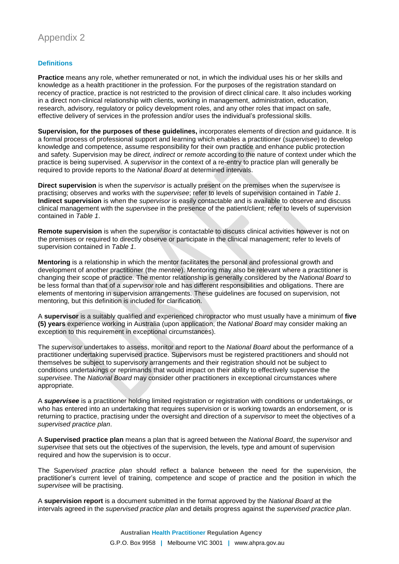## **Definitions**

**Practice** means any role, whether remunerated or not, in which the individual uses his or her skills and knowledge as a health practitioner in the profession. For the purposes of the registration standard on recency of practice, practice is not restricted to the provision of direct clinical care. It also includes working in a direct non-clinical relationship with clients, working in management, administration, education, research, advisory, regulatory or policy development roles, and any other roles that impact on safe, effective delivery of services in the profession and/or uses the individual's professional skills.

**Supervision, for the purposes of these guidelines,** incorporates elements of direction and guidance. It is a formal process of professional support and learning which enables a practitioner (*supervisee*) to develop knowledge and competence, assume responsibility for their own practice and enhance public protection and safety. Supervision may be *direct, indirect* or *remote* according to the nature of context under which the practice is being supervised. A *supervisor* in the context of a re-entry to practice plan will generally be required to provide reports to the *National Board* at determined intervals.

**Direct supervision** is when the *supervisor* is actually present on the premises when the *supervisee* is practising; observes and works with the *supervisee*; refer to levels of supervision contained in *Table 1*. **Indirect supervision** is when the *supervisor* is easily contactable and is available to observe and discuss clinical management with the *supervisee* in the presence of the patient/client; refer to levels of supervision contained in *Table 1*.

**Remote supervision** is when the *supervisor* is contactable to discuss clinical activities however is not on the premises or required to directly observe or participate in the clinical management; refer to levels of supervision contained in *Table 1*.

**Mentoring** is a relationship in which the mentor facilitates the personal and professional growth and development of another practitioner (the *mentee*). Mentoring may also be relevant where a practitioner is changing their scope of practice. The mentor relationship is generally considered by the *National Board* to be less formal than that of a *supervisor* role and has different responsibilities and obligations. There are elements of mentoring in supervision arrangements. These guidelines are focused on supervision, not mentoring, but this definition is included for clarification.

A **supervisor** is a suitably qualified and experienced chiropractor who must usually have a minimum of **five (5) years** experience working in Australia (upon application, the *National Board* may consider making an exception to this requirement in exceptional circumstances).

The *supervisor* undertakes to assess, monitor and report to the *National Board* about the performance of a practitioner undertaking supervised practice. Supervisors must be registered practitioners and should not themselves be subject to supervisory arrangements and their registration should not be subject to conditions undertakings or reprimands that would impact on their ability to effectively supervise the *supervisee*. The *National Board* may consider other practitioners in exceptional circumstances where appropriate.

A *supervisee* is a practitioner holding limited registration or registration with conditions or undertakings, or who has entered into an undertaking that requires supervision or is working towards an endorsement, or is returning to practice, practising under the oversight and direction of a *supervisor* to meet the objectives of a *supervised practice plan*.

A **Supervised practice plan** means a plan that is agreed between the *National Board*, the *supervisor* and *supervisee* that sets out the objectives of the supervision, the levels, type and amount of supervision required and how the supervision is to occur.

The S*upervised practice plan* should reflect a balance between the need for the supervision, the practitioner's current level of training, competence and scope of practice and the position in which the *supervisee* will be practising.

A **supervision report** is a document submitted in the format approved by the *National Board* at the intervals agreed in the *supervised practice plan* and details progress against the *supervised practice plan*.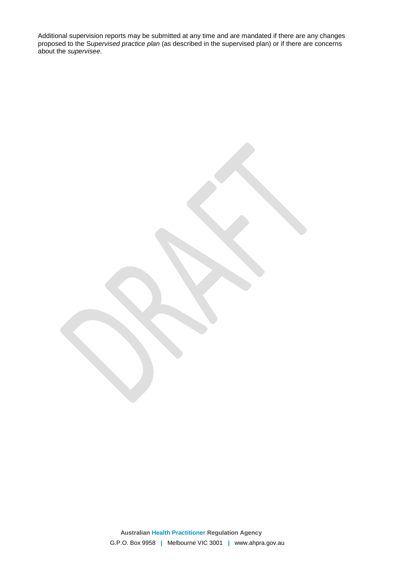Additional supervision reports may be submitted at any time and are mandated if there are any changes proposed to the S*upervised practice plan* (as described in the supervised plan) or if there are concerns about the *supervisee*.

> **Australian Health Practitioner Regulation Agency** G.P.O. Box 9958 **|** Melbourne VIC 3001 **|** www.ahpra.gov.au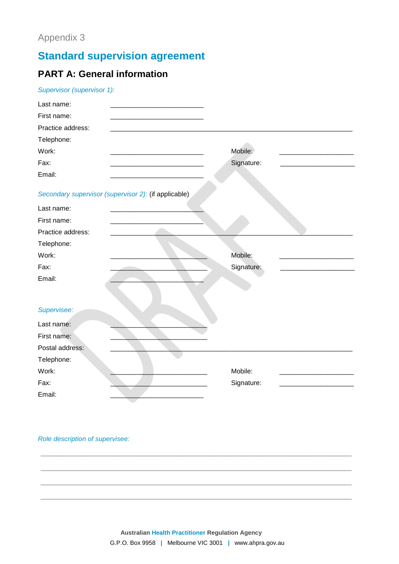# **Standard supervision agreement**

# **PART A: General information**

| Supervisor (supervisor 1): |  |  |
|----------------------------|--|--|
|                            |  |  |

| Last name:                                           |            |
|------------------------------------------------------|------------|
| First name:                                          |            |
| Practice address:                                    |            |
| Telephone:                                           |            |
| Work:                                                | Mobile:    |
| Fax:                                                 | Signature: |
| Email:                                               |            |
| Secondary supervisor (supervisor 2): (if applicable) |            |
| Last name:                                           |            |
| First name:                                          |            |
| Practice address:                                    |            |
| Telephone:                                           |            |
| Work:                                                | Mobile:    |
| Fax:                                                 | Signature: |
| Email:                                               |            |
|                                                      |            |
| Supervisee:                                          |            |
| Last name:                                           |            |
| First name:                                          |            |
| Postal address:                                      |            |
| Telephone:                                           |            |
| Work:                                                | Mobile:    |
| Fax:                                                 | Signature: |
| Email:                                               |            |

Role description of supervisee: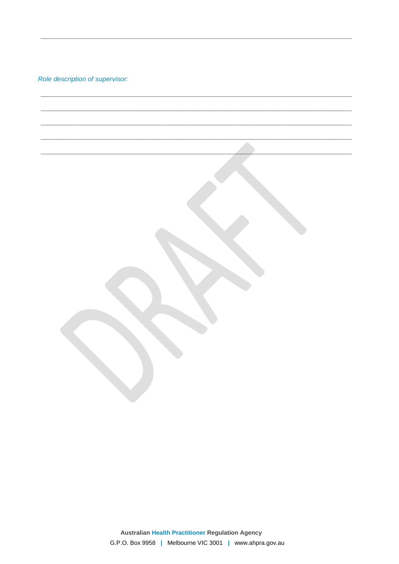Role description of supervisor: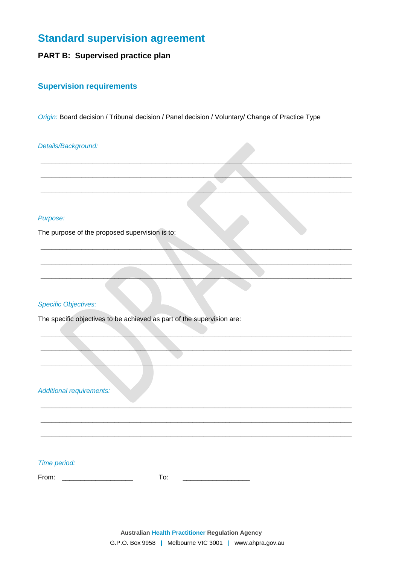# **Standard supervision agreement**

# PART B: Supervised practice plan

## **Supervision requirements**

Origin: Board decision / Tribunal decision / Panel decision / Voluntary/ Change of Practice Type

## Details/Background:

## Purpose:

The purpose of the proposed supervision is to:

## **Specific Objectives:**

The specific objectives to be achieved as part of the supervision are:

**Additional requirements:** 

## Time period:

From: \_\_\_\_\_\_\_\_\_\_\_\_\_\_\_\_\_\_\_\_\_\_

To: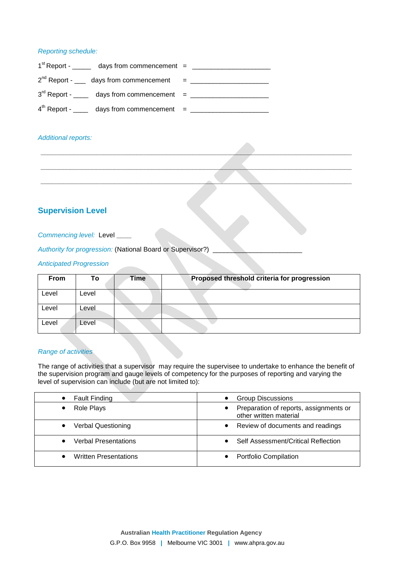#### *Reporting schedule:*

| $1st$ Report - _______ days from commencement = ____________________________ |  |
|------------------------------------------------------------------------------|--|
| $2^{nd}$ Report - ____ days from commencement = ________                     |  |
| $3rd$ Report - _____ days from commencement = ___________                    |  |
| $4th$ Report - _____ days from commencement = ___________                    |  |

#### *Additional reports:*

# **Supervision Level**

#### *Commencing level:* Level **\_\_\_\_**

*Authority for progression:* (National Board or Supervisor?)

## *Anticipated Progression*

| <b>From</b> | Τo    | <b>Time</b> | Proposed threshold criteria for progression |
|-------------|-------|-------------|---------------------------------------------|
| Level       | Level |             |                                             |
| Level       | Level |             |                                             |
| Level       | Level |             |                                             |

**\_\_\_\_\_\_\_\_\_\_\_\_\_\_\_\_\_\_\_\_\_\_\_\_\_\_\_\_\_\_\_\_\_\_\_\_\_\_\_\_\_\_\_\_\_\_\_\_\_\_\_\_\_\_\_\_\_\_\_\_\_\_\_\_\_\_\_\_\_\_\_\_\_\_\_\_\_\_\_\_\_\_\_\_**

**\_\_\_\_\_\_\_\_\_\_\_\_\_\_\_\_\_\_\_\_\_\_\_\_\_\_\_\_\_\_\_\_\_\_\_\_\_\_\_\_\_\_\_\_\_\_\_\_\_\_\_\_\_\_\_\_\_\_\_\_\_\_\_\_\_\_\_\_\_\_\_\_\_\_\_\_\_\_\_\_\_\_\_\_**

**\_\_\_\_\_\_\_\_\_\_\_\_\_\_\_\_\_\_\_\_\_\_\_\_\_\_\_\_\_\_\_\_\_\_\_\_\_\_\_\_\_\_\_\_\_\_\_\_\_\_\_\_\_\_\_\_\_\_\_\_\_\_\_\_\_\_\_\_\_\_\_\_\_\_\_\_\_\_\_\_\_\_\_\_**

#### *Range of activities*

The range of activities that a supervisor may require the supervisee to undertake to enhance the benefit of the supervision program and gauge levels of competency for the purposes of reporting and varying the level of supervision can include (but are not limited to):

| <b>Fault Finding</b>         | <b>Group Discussions</b>                                         |
|------------------------------|------------------------------------------------------------------|
| Role Plays                   | Preparation of reports, assignments or<br>other written material |
| <b>Verbal Questioning</b>    | Review of documents and readings                                 |
| Verbal Presentations         | Self Assessment/Critical Reflection                              |
| <b>Written Presentations</b> | Portfolio Compilation                                            |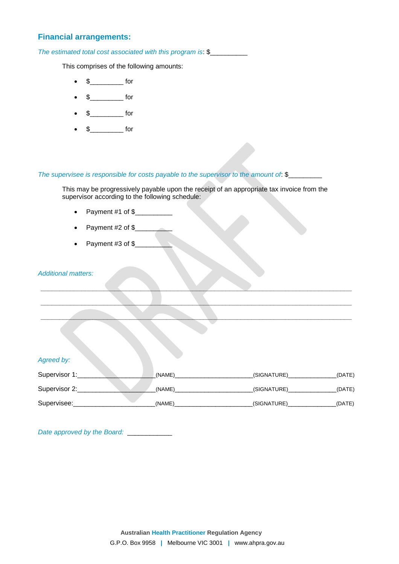## **Financial arrangements:**

*The estimated total cost associated with this program is*: \$\_\_\_\_\_\_\_\_\_\_

This comprises of the following amounts:

- $\bullet$  \$ for
- $\frac{1}{2}$  for
- $\frac{1}{2}$  for
- $\frac{1}{2}$  for

## *The supervisee is responsible for costs payable to the supervisor to the amount of*: \$\_\_\_\_\_\_\_\_\_

This may be progressively payable upon the receipt of an appropriate tax invoice from the supervisor according to the following schedule:

- Payment  $#1$  of  $\frac{6}{2}$
- Payment  $#2$  of  $\frac{6}{2}$
- Payment #3 of \$\_\_\_\_\_\_\_\_\_\_

#### *Additional matters:*

| Agreed by:    |        |             |        |
|---------------|--------|-------------|--------|
| Supervisor 1: | (NAME) | (SIGNATURE) | (DATE) |
| Supervisor 2: | (NAME) | (SIGNATURE) | (DATE) |
| Supervisee:   | (NAME) | (SIGNATURE) | (DATE) |

**\_\_\_\_\_\_\_\_\_\_\_\_\_\_\_\_\_\_\_\_\_\_\_\_\_\_\_\_\_\_\_\_\_\_\_\_\_\_\_\_\_\_\_\_\_\_\_\_\_\_\_\_\_\_\_\_\_\_\_\_\_\_\_\_\_\_\_\_\_\_\_\_\_\_\_\_\_\_\_\_\_\_\_\_**

**\_\_\_\_\_\_\_\_\_\_\_\_\_\_\_\_\_\_\_\_\_\_\_\_\_\_\_\_\_\_\_\_\_\_\_\_\_\_\_\_\_\_\_\_\_\_\_\_\_\_\_\_\_\_\_\_\_\_\_\_\_\_\_\_\_\_\_\_\_\_\_\_\_\_\_\_\_\_\_\_\_\_\_\_**

**\_\_\_\_\_\_\_\_\_\_\_\_\_\_\_\_\_\_\_\_\_\_\_\_\_\_\_\_\_\_\_\_\_\_\_\_\_\_\_\_\_\_\_\_\_\_\_\_\_\_\_\_\_\_\_\_\_\_\_\_\_\_\_\_\_\_\_\_\_\_\_\_\_\_\_\_\_\_\_\_\_\_\_\_**

*Date approved by the Board:*\_\_\_\_\_\_\_\_\_\_\_\_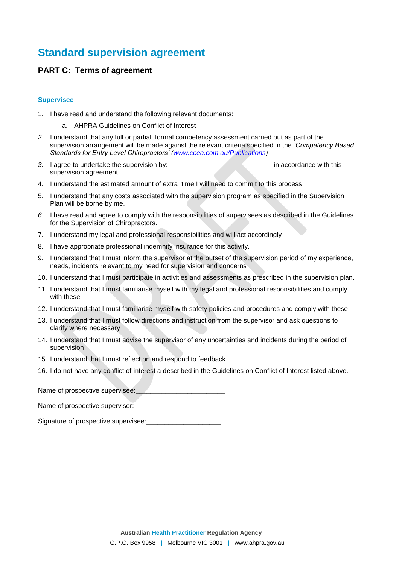# **Standard supervision agreement**

## **PART C: Terms of agreement**

#### **Supervisee**

- 1. I have read and understand the following relevant documents:
	- a. AHPRA Guidelines on Conflict of Interest
- *2.* I understand that any full or partial formal competency assessment carried out as part of the supervision arrangement will be made against the relevant criteria specified in the *'Competency Based Standards for Entry Level Chiropractors' [\(www.ccea.com.au/Publications\)](http://www.ccea.com.au/Publications/Publications.htm))*
- *3.* I agree to undertake the supervision by: \_\_\_\_\_\_\_\_\_\_\_\_\_\_\_\_\_\_\_\_\_\_\_ in accordance with this supervision agreement.
- 4. I understand the estimated amount of extra time I will need to commit to this process
- 5. I understand that any costs associated with the supervision program as specified in the Supervision Plan will be borne by me.
- *6.* I have read and agree to comply with the responsibilities of supervisees as described in the Guidelines for the Supervision of Chiropractors.
- 7. I understand my legal and professional responsibilities and will act accordingly
- 8. I have appropriate professional indemnity insurance for this activity.
- 9. I understand that I must inform the supervisor at the outset of the supervision period of my experience, needs, incidents relevant to my need for supervision and concerns
- 10. I understand that I must participate in activities and assessments as prescribed in the supervision plan.
- 11. I understand that I must familiarise myself with my legal and professional responsibilities and comply with these
- 12. I understand that I must familiarise myself with safety policies and procedures and comply with these
- 13. I understand that I must follow directions and instruction from the supervisor and ask questions to clarify where necessary
- 14. I understand that I must advise the supervisor of any uncertainties and incidents during the period of supervision
- 15. I understand that I must reflect on and respond to feedback
- 16. I do not have any conflict of interest a described in the Guidelines on Conflict of Interest listed above.

Name of prospective supervisee:

Name of prospective supervisor:

Signature of prospective supervisee: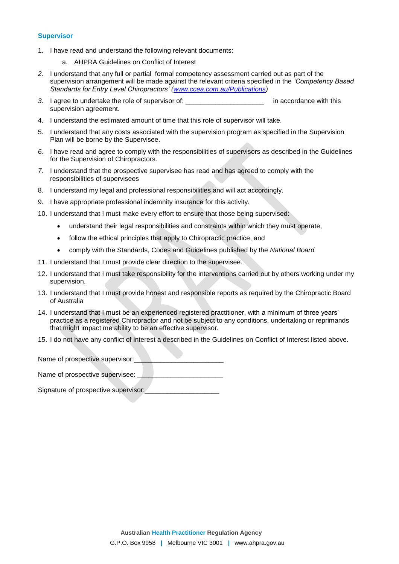#### **Supervisor**

- 1. I have read and understand the following relevant documents:
	- a. AHPRA Guidelines on Conflict of Interest
- *2.* I understand that any full or partial formal competency assessment carried out as part of the supervision arrangement will be made against the relevant criteria specified in the *'Competency Based Standards for Entry Level Chiropractors' [\(www.ccea.com.au/Publications\)](http://www.ccea.com.au/Publications/Publications.htm))*
- *3.* I agree to undertake the role of supervisor of: \_\_\_\_\_\_\_\_\_\_\_\_\_\_\_\_\_\_\_\_\_ in accordance with this supervision agreement.
- 4. I understand the estimated amount of time that this role of supervisor will take.
- 5. I understand that any costs associated with the supervision program as specified in the Supervision Plan will be borne by the Supervisee.
- *6.* I have read and agree to comply with the responsibilities of supervisors as described in the Guidelines for the Supervision of Chiropractors.
- *7.* I understand that the prospective supervisee has read and has agreed to comply with the responsibilities of supervisees
- 8. I understand my legal and professional responsibilities and will act accordingly.
- 9. I have appropriate professional indemnity insurance for this activity.
- 10. I understand that I must make every effort to ensure that those being supervised:
	- understand their legal responsibilities and constraints within which they must operate,
	- follow the ethical principles that apply to Chiropractic practice, and
	- comply with the Standards, Codes and Guidelines published by the *National Board*
- 11. I understand that I must provide clear direction to the supervisee.
- 12. I understand that I must take responsibility for the interventions carried out by others working under my supervision.
- 13. I understand that I must provide honest and responsible reports as required by the Chiropractic Board of Australia
- 14. I understand that I must be an experienced registered practitioner, with a minimum of three years' practice as a registered Chiropractor and not be subject to any conditions, undertaking or reprimands that might impact me ability to be an effective supervisor.
- 15. I do not have any conflict of interest a described in the Guidelines on Conflict of Interest listed above.

Name of prospective supervisor:

Name of prospective supervisee:

Signature of prospective supervisor: